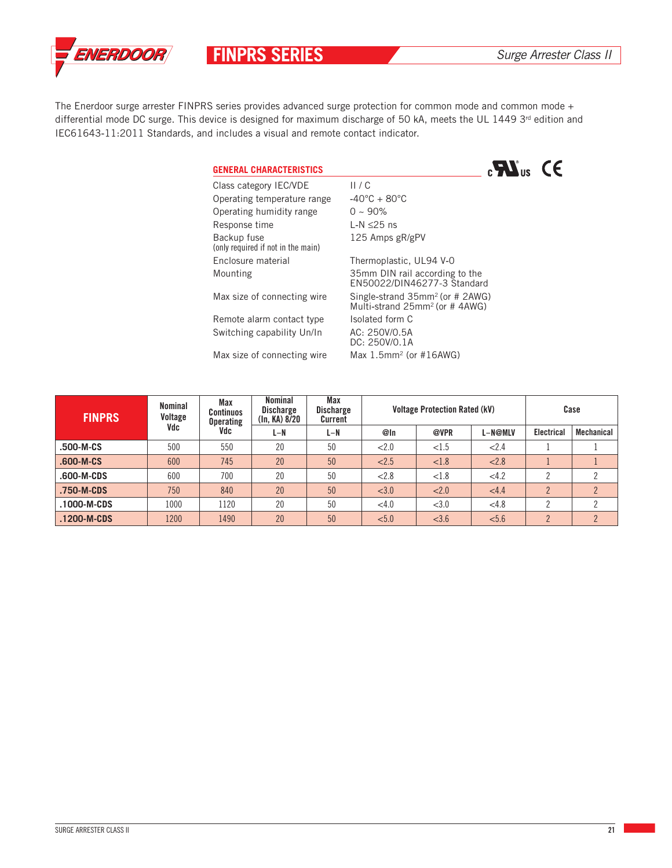

**FINPRS SERIES** Surge Arrester Class II

The Enerdoor surge arrester FINPRS series provides advanced surge protection for common mode and common mode + differential mode DC surge. This device is designed for maximum discharge of 50 kA, meets the UL 1449  $3<sup>rd</sup>$  edition and IEC61643**‐**11:2011 Standards, and includes a visual and remote contact indicator.

## **GENERAL CHARACTERISTICS**



Class category IEC/VDE II / C Operating temperature range **‐**40°C + 80°C Operating humidity range  $0 \sim 90\%$ Response time L**‐**N ≤25 ns Backup fuse 125 Amps gR/gPV (only required if not in the main) Enclosure material Thermoplastic, UL94 V**‐**0 Mounting 35mm DIN rail according to the EN50022/DIN46277-3 Standard Max size of connecting wire Single-strand 35mm<sup>2</sup> (or # 2AWG) Multi**‐**strand 25mm2 (or # 4AWG) Remote alarm contact type Isolated form C Switching capability Un/In AC: 250V/0.5A DC: 250V/0.1A Max size of connecting wire Max 1.5mm<sup>2</sup> (or #16AWG)

| <b>FINPRS</b> | Nominal<br>Voltage<br>Vdc | Max<br><b>Continuos</b><br><b>Operating</b><br>Vdc | Nominal<br><b>Discharge</b><br>(In, KA) 8/20 | Max<br><b>Discharge</b><br>Current | <b>Voltage Protection Rated (kV)</b> |       |         | Case              |                   |
|---------------|---------------------------|----------------------------------------------------|----------------------------------------------|------------------------------------|--------------------------------------|-------|---------|-------------------|-------------------|
|               |                           |                                                    | L-N                                          | $L-N$                              | @In                                  | @VPR  | L-N@MLV | <b>Electrical</b> | <b>Mechanical</b> |
| .500-M-CS     | 500                       | 550                                                | 20                                           | 50                                 | < 2.0                                | < 1.5 | 2.4     |                   |                   |
| .600-M-CS     | 600                       | 745                                                | 20                                           | 50                                 | 2.5                                  | < 1.8 | < 2.8   |                   |                   |
| .600-M-CDS    | 600                       | 700                                                | 20                                           | 50                                 | < 2.8                                | < 1.8 | <4.2    |                   | <sup>2</sup>      |
| .750-M-CDS    | 750                       | 840                                                | 20                                           | 50                                 | < 3.0                                | < 2.0 | <4.4    | $\mathfrak{p}$    | $\overline{2}$    |
| .1000-M-CDS   | 1000                      | 1120                                               | 20                                           | 50                                 | < 4.0                                | < 3.0 | < 4.8   |                   | <sup>2</sup>      |
| .1200-M-CDS   | 1200                      | 1490                                               | 20                                           | 50                                 | < 5.0                                | < 3.6 | < 5.6   | $\mathcal{D}$     | $\overline{2}$    |